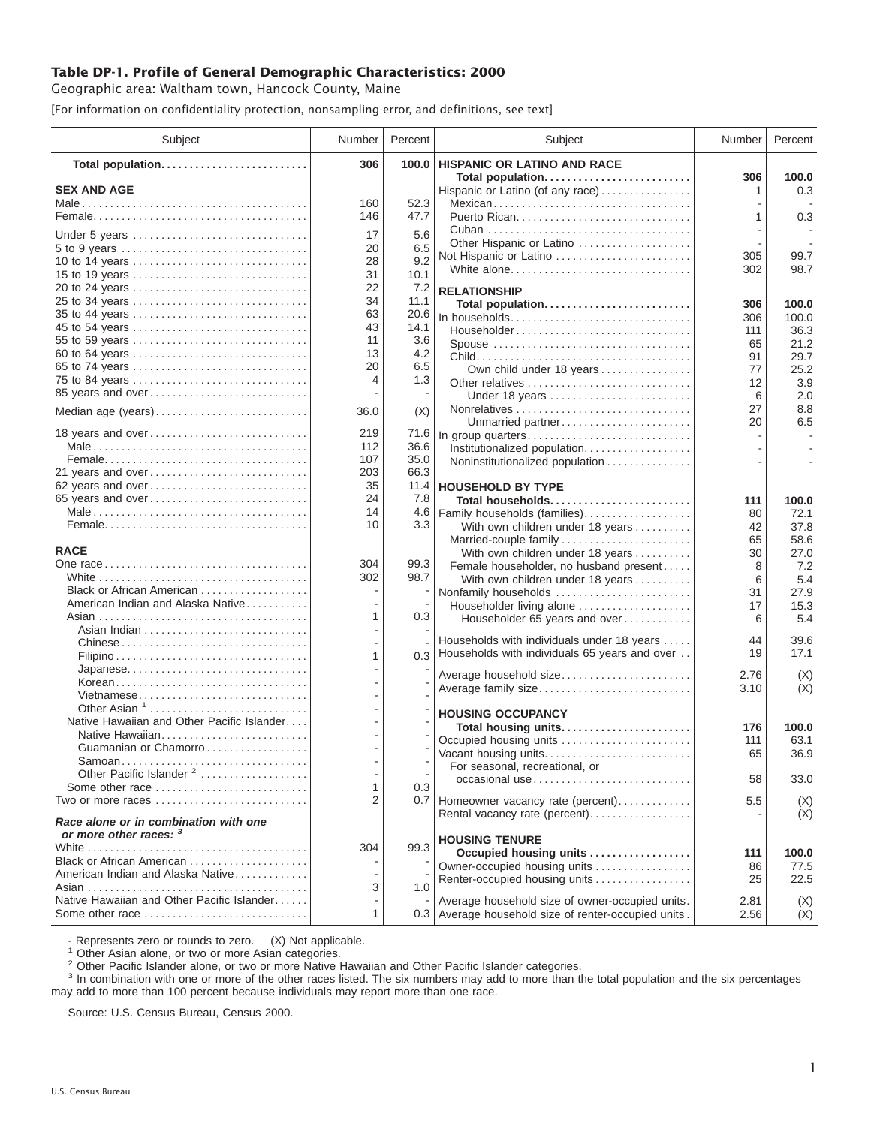## **Table DP-1. Profile of General Demographic Characteristics: 2000**

Geographic area: Waltham town, Hancock County, Maine

[For information on confidentiality protection, nonsampling error, and definitions, see text]

| Subject                                                                | Number         | Percent    | Subject                                                   | Number     | Percent        |
|------------------------------------------------------------------------|----------------|------------|-----------------------------------------------------------|------------|----------------|
| Total population                                                       | 306            | 100.0      | <b>HISPANIC OR LATINO AND RACE</b>                        |            |                |
| <b>SEX AND AGE</b>                                                     |                |            | Total population<br>Hispanic or Latino (of any race)      | 306<br>1   | 100.0<br>0.3   |
|                                                                        | 160            | 52.3       | Mexican                                                   |            |                |
|                                                                        | 146            | 47.7       |                                                           | 1          | 0.3            |
|                                                                        |                |            |                                                           |            |                |
| Under 5 years                                                          | 17             | 5.6        | Other Hispanic or Latino                                  |            |                |
| 5 to 9 years<br>10 to 14 years                                         | 20<br>28       | 6.5<br>9.2 | Not Hispanic or Latino                                    | 305        | 99.7           |
| 15 to 19 years                                                         | 31             | 10.1       | White alone                                               | 302        | 98.7           |
| 20 to 24 years                                                         | 22             | 7.2        | <b>RELATIONSHIP</b>                                       |            |                |
| 25 to 34 years                                                         | 34             | 11.1       | Total population                                          |            |                |
| 35 to 44 years                                                         | 63             | 20.6       | In households                                             | 306<br>306 | 100.0<br>100.0 |
| 45 to 54 years                                                         | 43             | 14.1       | Householder                                               | 111        | 36.3           |
| 55 to 59 years                                                         | 11             | 3.6        | Spouse                                                    | 65         | 21.2           |
| 60 to 64 years                                                         | 13             | 4.2        |                                                           | 91         | 29.7           |
| 65 to 74 years                                                         | 20             | 6.5        | Own child under 18 years                                  | 77         | 25.2           |
| 75 to 84 years                                                         | 4              | 1.3        | Other relatives                                           | 12         | 3.9            |
| 85 years and over                                                      |                |            | Under 18 years                                            | 6          | 2.0            |
| Median age (years)                                                     | 36.0           | (X)        |                                                           | 27         | 8.8            |
|                                                                        |                |            | Unmarried partner                                         | 20         | 6.5            |
| 18 years and over                                                      | 219            | 71.6       | In group quarters                                         |            |                |
|                                                                        | 112            | 36.6       | Institutionalized population                              |            |                |
|                                                                        | 107            | 35.0       | Noninstitutionalized population                           |            |                |
| 21 years and over                                                      | 203            | 66.3       |                                                           |            |                |
| 62 years and over                                                      | 35             | 11.4       | <b>HOUSEHOLD BY TYPE</b>                                  |            |                |
| 65 years and over                                                      | 24<br>14       | 7.8        | Total households                                          | 111        | 100.0          |
|                                                                        | 10             | 4.6<br>3.3 | Family households (families)                              | 80         | 72.1           |
|                                                                        |                |            | With own children under 18 years                          | 42<br>65   | 37.8<br>58.6   |
| <b>RACE</b>                                                            |                |            | Married-couple family<br>With own children under 18 years | 30         | 27.0           |
|                                                                        | 304            | 99.3       | Female householder, no husband present                    | 8          | 7.2            |
|                                                                        | 302            | 98.7       | With own children under 18 years                          | 6          | 5.4            |
| Black or African American                                              |                |            | Nonfamily households                                      | 31         | 27.9           |
| American Indian and Alaska Native                                      |                |            | Householder living alone                                  | 17         | 15.3           |
|                                                                        | 1              | 0.3        | Householder 65 years and over                             | 6          | 5.4            |
|                                                                        |                |            |                                                           |            |                |
|                                                                        |                |            | Households with individuals under 18 years                | 44         | 39.6           |
|                                                                        | 1              |            | 0.3 Households with individuals 65 years and over         | 19         | 17.1           |
|                                                                        |                |            | Average household size                                    | 2.76       | (X)            |
| Korean                                                                 |                |            | Average family size                                       | 3.10       | (X)            |
| Vietnamese                                                             |                |            |                                                           |            |                |
| Other Asian <sup>1</sup><br>Native Hawaiian and Other Pacific Islander |                |            | <b>HOUSING OCCUPANCY</b>                                  |            |                |
| Native Hawaiian                                                        |                |            | Total housing units                                       | 176        | 100.0          |
| Guamanian or Chamorro                                                  |                |            | Occupied housing units                                    | 111        | 63.1           |
|                                                                        |                |            | Vacant housing units                                      | 65         | 36.9           |
| Other Pacific Islander <sup>2</sup>                                    |                |            | For seasonal, recreational, or                            |            |                |
| Some other race                                                        | 1              | 0.3        | occasional use                                            | 58         | 33.0           |
| Two or more races                                                      | $\overline{2}$ |            | 0.7 Homeowner vacancy rate (percent)                      | 5.5        | (X)            |
| Race alone or in combination with one                                  |                |            | Rental vacancy rate (percent)                             |            | (X)            |
| or more other races: 3                                                 |                |            | <b>HOUSING TENURE</b>                                     |            |                |
|                                                                        | 304            | 99.3       | Occupied housing units                                    | 111        | 100.0          |
| Black or African American                                              |                |            | Owner-occupied housing units                              | 86         | 77.5           |
| American Indian and Alaska Native                                      |                |            | Renter-occupied housing units                             | 25         | 22.5           |
|                                                                        | 3              | 1.0        |                                                           |            |                |
| Native Hawaiian and Other Pacific Islander                             |                |            | Average household size of owner-occupied units.           | 2.81       | (X)            |
| Some other race                                                        | 1              |            | 0.3 Average household size of renter-occupied units.      | 2.56       | (X)            |

- Represents zero or rounds to zero. (X) Not applicable.<br><sup>1</sup> Other Asian alone, or two or more Asian categories.

<sup>2</sup> Other Pacific Islander alone, or two or more Native Hawaiian and Other Pacific Islander categories.<br><sup>3</sup> In combination with one or more of the other races listed. The six numbers may add to more than the total populati may add to more than 100 percent because individuals may report more than one race.

Source: U.S. Census Bureau, Census 2000.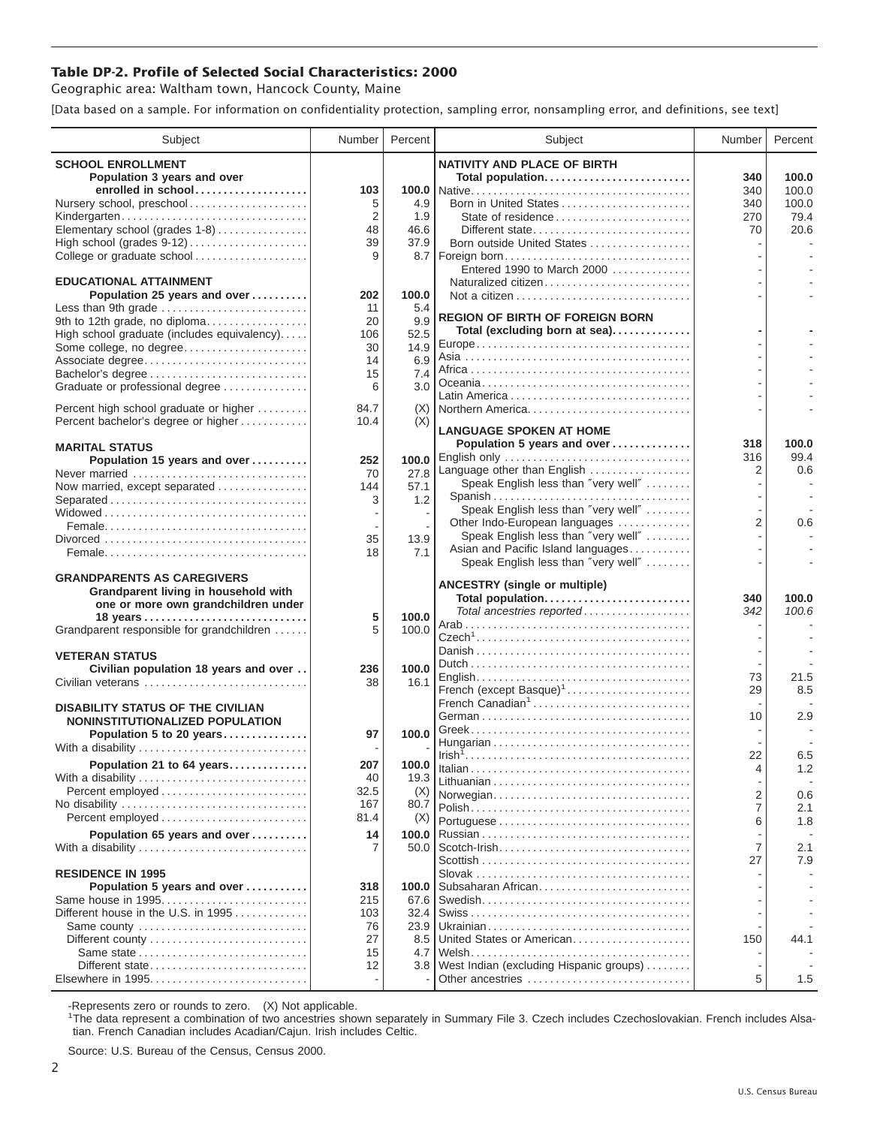## **Table DP-2. Profile of Selected Social Characteristics: 2000**

Geographic area: Waltham town, Hancock County, Maine

[Data based on a sample. For information on confidentiality protection, sampling error, nonsampling error, and definitions, see text]

| Subject                                                                     | Number     | Percent        | Subject                                                                                                         | Number         | Percent     |
|-----------------------------------------------------------------------------|------------|----------------|-----------------------------------------------------------------------------------------------------------------|----------------|-------------|
| <b>SCHOOL ENROLLMENT</b><br>Population 3 years and over                     |            |                | <b>NATIVITY AND PLACE OF BIRTH</b><br>Total population                                                          | 340            | 100.0       |
| enrolled in school                                                          | 103        | 100.0          |                                                                                                                 | 340            | 100.0       |
| Nursery school, preschool                                                   | 5          | 4.9            |                                                                                                                 | 340            | 100.0       |
| Kindergarten                                                                | 2          | 1.9            | State of residence                                                                                              | 270            | 79.4        |
| Elementary school (grades 1-8)                                              | 48<br>39   | 46.6<br>37.9   | Different state                                                                                                 | 70             | 20.6        |
| High school (grades 9-12)<br>College or graduate school                     | 9          |                | Born outside United States                                                                                      |                |             |
|                                                                             |            |                | Entered 1990 to March 2000                                                                                      |                |             |
| <b>EDUCATIONAL ATTAINMENT</b>                                               |            |                | Naturalized citizen                                                                                             |                |             |
| Population 25 years and over                                                | 202        | 100.0          |                                                                                                                 |                |             |
| Less than 9th grade                                                         | 11         | 5.4            |                                                                                                                 |                |             |
| 9th to 12th grade, no diploma                                               | 20         | 9.9            | <b>REGION OF BIRTH OF FOREIGN BORN</b><br>Total (excluding born at sea)                                         |                |             |
| High school graduate (includes equivalency)                                 | 106        | 52.5           |                                                                                                                 |                |             |
| Some college, no degree<br>Associate degree                                 | 30<br>14   | 14.9<br>6.9    |                                                                                                                 |                |             |
| Bachelor's degree                                                           | 15         | 7.4            |                                                                                                                 |                |             |
| Graduate or professional degree                                             | 6          | 3.0            |                                                                                                                 |                |             |
|                                                                             |            |                |                                                                                                                 |                |             |
| Percent high school graduate or higher                                      | 84.7       | (X)            | Northern America                                                                                                |                |             |
| Percent bachelor's degree or higher                                         | 10.4       | (X)            | <b>LANGUAGE SPOKEN AT HOME</b>                                                                                  |                |             |
| <b>MARITAL STATUS</b>                                                       |            |                | Population 5 years and over                                                                                     | 318            | 100.0       |
| Population 15 years and over                                                | 252        | 100.0          | English only                                                                                                    | 316            | 99.4        |
| Never married                                                               | 70         | 27.8           | Language other than English                                                                                     | 2              | 0.6         |
| Now married, except separated                                               | 144        | 57.1           | Speak English less than "very well"                                                                             |                |             |
| Separated                                                                   | 3          | 1.2            | Spanish<br>Speak English less than "very well"                                                                  |                |             |
|                                                                             |            |                | Other Indo-European languages                                                                                   | $\overline{2}$ | 0.6         |
|                                                                             | 35         | 13.9           | Speak English less than "very well"                                                                             |                |             |
|                                                                             | 18         | 7.1            | Asian and Pacific Island languages                                                                              |                |             |
|                                                                             |            |                | Speak English less than "very well"                                                                             |                |             |
| <b>GRANDPARENTS AS CAREGIVERS</b>                                           |            |                | <b>ANCESTRY</b> (single or multiple)                                                                            |                |             |
| Grandparent living in household with                                        |            |                | Total population                                                                                                | 340            | 100.0       |
| one or more own grandchildren under                                         |            |                | Total ancestries reported                                                                                       | 342            | 100.6       |
| Grandparent responsible for grandchildren                                   | 5<br>5     | 100.0<br>100.0 |                                                                                                                 |                |             |
|                                                                             |            |                |                                                                                                                 |                |             |
| <b>VETERAN STATUS</b>                                                       |            |                |                                                                                                                 |                |             |
| Civilian population 18 years and over                                       | 236        | 100.0          |                                                                                                                 |                |             |
| Civilian veterans                                                           | 38         | 16.1           | French (except Basque) <sup>1</sup>                                                                             | 73<br>29       | 21.5<br>8.5 |
|                                                                             |            |                | French Canadian <sup>1</sup>                                                                                    |                |             |
| <b>DISABILITY STATUS OF THE CIVILIAN</b><br>NONINSTITUTIONALIZED POPULATION |            |                |                                                                                                                 | 10             | 2.9         |
| Population 5 to 20 years                                                    | 97         | 100.0          |                                                                                                                 |                |             |
| With a disability                                                           |            |                |                                                                                                                 |                |             |
| Population 21 to 64 years                                                   | 207        | 100.0          | $\left  \text{Irish}^{\bar{1}}, \ldots, \ldots, \ldots, \ldots, \ldots, \ldots, \ldots, \ldots, \ldots \right $ | 22             | 6.5         |
| With a disability                                                           | 40         | 19.3           |                                                                                                                 | 4              | 1.2         |
|                                                                             | 32.5       | (X)            | Norwegian                                                                                                       | 2              | 0.6         |
| No disability                                                               | 167        | 80.7           |                                                                                                                 | 7              | 2.1         |
|                                                                             | 81.4       | (X)            |                                                                                                                 | 6              | 1.8         |
| Population 65 years and over                                                | 14         | 100.0          |                                                                                                                 |                |             |
| With a disability                                                           | 7          | 50.0           |                                                                                                                 | 7              | 2.1         |
|                                                                             |            |                |                                                                                                                 | 27             | 7.9         |
| <b>RESIDENCE IN 1995</b>                                                    |            |                |                                                                                                                 |                |             |
| Population 5 years and over<br>Same house in 1995                           | 318<br>215 | 100.0<br>67.6  | Subsaharan African                                                                                              |                |             |
| Different house in the U.S. in 1995                                         | 103        | 32.4           |                                                                                                                 |                |             |
| Same county                                                                 | 76         | 23.9           |                                                                                                                 |                |             |
| Different county                                                            | 27         | 8.5            | United States or American                                                                                       | 150            | 44.1        |
|                                                                             | 15         | 4.7            |                                                                                                                 |                |             |
| Different state                                                             | 12         | 3.8            | West Indian (excluding Hispanic groups)                                                                         |                |             |
|                                                                             |            |                | Other ancestries                                                                                                | 5              | 1.5         |

-Represents zero or rounds to zero. (X) Not applicable. 1 The data represent a combination of two ancestries shown separately in Summary File 3. Czech includes Czechoslovakian. French includes Alsatian. French Canadian includes Acadian/Cajun. Irish includes Celtic.

Source: U.S. Bureau of the Census, Census 2000.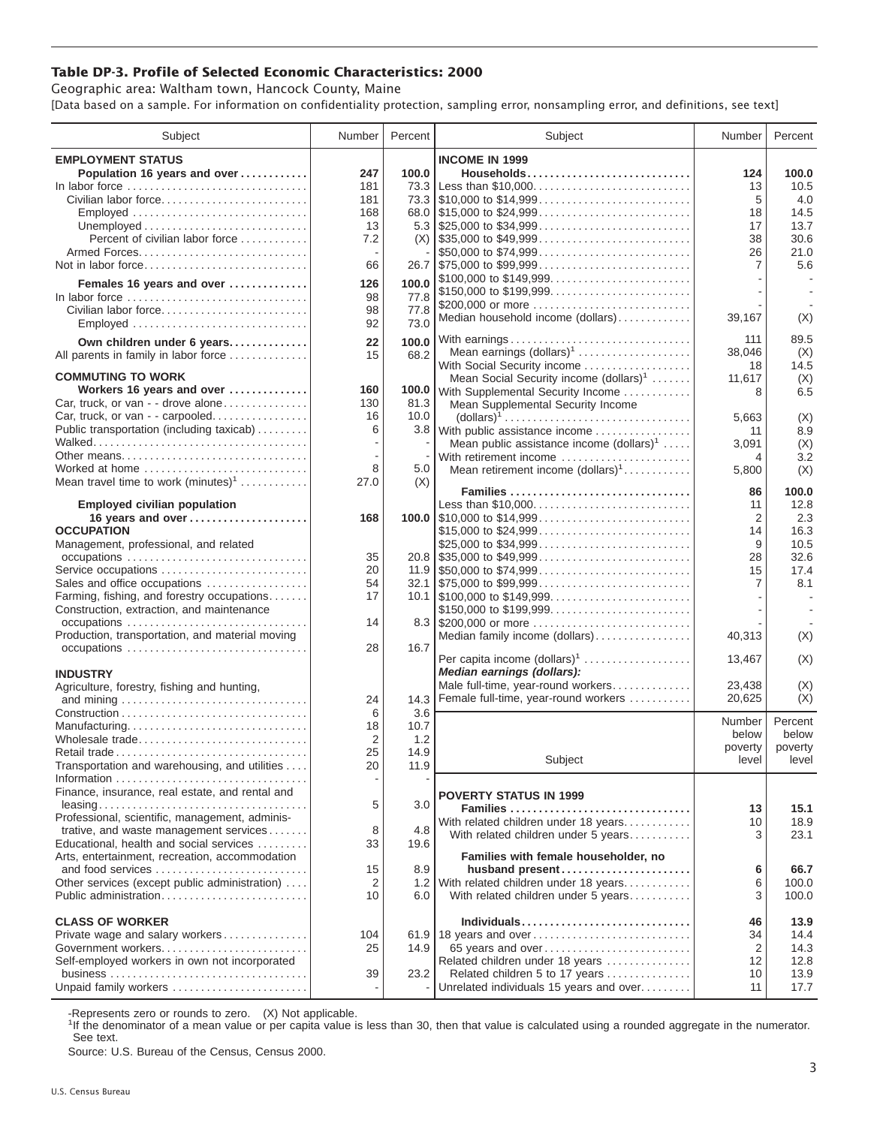## **Table DP-3. Profile of Selected Economic Characteristics: 2000**

Geographic area: Waltham town, Hancock County, Maine [Data based on a sample. For information on confidentiality protection, sampling error, nonsampling error, and definitions, see text]

| Subject                                                                           | Number    | Percent      | Subject                                                      | Number      | Percent      |
|-----------------------------------------------------------------------------------|-----------|--------------|--------------------------------------------------------------|-------------|--------------|
| <b>EMPLOYMENT STATUS</b>                                                          |           |              | <b>INCOME IN 1999</b>                                        |             |              |
| Population 16 years and over                                                      | 247       | 100.0        | Households                                                   | 124         | 100.0        |
|                                                                                   | 181       |              | 73.3 Less than \$10,000                                      | 13          | 10.5         |
| Civilian labor force                                                              | 181       |              |                                                              | 5           | 4.0          |
| Employed                                                                          | 168       |              |                                                              | 18          | 14.5         |
|                                                                                   | 13        |              |                                                              | 17          | 13.7         |
| Percent of civilian labor force                                                   | 7.2       |              | $(X)$ \\ \$35,000 to \$49,999                                | 38          | 30.6         |
|                                                                                   |           |              | \$50,000 to \$74,999                                         | 26          | 21.0         |
| Not in labor force                                                                | 66        |              | 26.7 \$75,000 to \$99,999                                    | 7           | 5.6          |
| Females 16 years and over                                                         | 126       | 100.0        |                                                              |             |              |
| In labor force                                                                    | 98        | 77.8         | \$150,000 to \$199,999                                       |             |              |
| Civilian labor force                                                              | 98        | 77.8         | \$200,000 or more<br>Median household income (dollars)       |             |              |
| Employed                                                                          | 92        | 73.0         |                                                              | 39,167      | (X)          |
| Own children under 6 years                                                        | 22        | 100.0        | With earnings                                                | 111         | 89.5         |
| All parents in family in labor force                                              | 15        | 68.2         | Mean earnings $(dollars)1$                                   | 38,046      | (X)          |
|                                                                                   |           |              | With Social Security income                                  | 18          | 14.5         |
| <b>COMMUTING TO WORK</b>                                                          |           |              | Mean Social Security income (dollars) <sup>1</sup>           | 11,617      | (X)          |
| Workers 16 years and over                                                         | 160       |              | 100.0 With Supplemental Security Income                      | 8           | 6.5          |
| Car, truck, or van - - drove alone<br>Car, truck, or van - - carpooled            | 130<br>16 | 81.3<br>10.0 | Mean Supplemental Security Income                            |             |              |
| Public transportation (including taxicab)                                         | 6         |              | 3.8 With public assistance income                            | 5,663<br>11 | (X)<br>8.9   |
|                                                                                   |           |              | Mean public assistance income $(dollars)^1$                  | 3,091       | (X)          |
| Other means                                                                       |           |              | With retirement income                                       | 4           | 3.2          |
| Worked at home                                                                    | 8         | 5.0          | Mean retirement income $(dollars)1$                          | 5,800       | (X)          |
| Mean travel time to work $(minutes)^1$                                            | 27.0      | (X)          |                                                              |             |              |
|                                                                                   |           |              | Families                                                     | 86          | 100.0        |
| <b>Employed civilian population</b>                                               |           |              | Less than \$10,000                                           | 11          | 12.8         |
| 16 years and over                                                                 | 168       |              |                                                              | 2           | 2.3          |
| <b>OCCUPATION</b>                                                                 |           |              | \$15,000 to \$24,999                                         | 14<br>9     | 16.3<br>10.5 |
| Management, professional, and related                                             | 35        |              |                                                              | 28          | 32.6         |
| Service occupations                                                               | 20        |              |                                                              | 15          | 17.4         |
| Sales and office occupations                                                      | 54        |              | 32.1 \$75,000 to \$99,999                                    | 7           | 8.1          |
| Farming, fishing, and forestry occupations                                        | 17        |              |                                                              |             |              |
| Construction, extraction, and maintenance                                         |           |              | \$150,000 to \$199,999                                       |             |              |
| occupations                                                                       | 14        |              | 8.3 \$200,000 or more                                        |             |              |
| Production, transportation, and material moving                                   |           |              | Median family income (dollars)                               | 40,313      | (X)          |
|                                                                                   | 28        | 16.7         |                                                              |             |              |
|                                                                                   |           |              | Per capita income $(dollars)1$<br>Median earnings (dollars): | 13,467      | (X)          |
| <b>INDUSTRY</b>                                                                   |           |              | Male full-time, year-round workers                           | 23,438      | (X)          |
| Agriculture, forestry, fishing and hunting,                                       | 24        | 14.3         | Female full-time, year-round workers                         | 20,625      | (X)          |
|                                                                                   | 6         | 3.6          |                                                              |             |              |
| Manufacturing                                                                     | 18        | 10.7         |                                                              | Number      | Percent      |
| Wholesale trade                                                                   | 2         | 1.2          |                                                              | below       | below        |
| Retail trade                                                                      | 25        | 14.9         |                                                              | poverty     | poverty      |
| Transportation and warehousing, and utilities                                     | 20        | 11.9         | Subject                                                      | level       | level        |
|                                                                                   |           |              |                                                              |             |              |
| Finance, insurance, real estate, and rental and                                   |           |              | <b>POVERTY STATUS IN 1999</b>                                |             |              |
|                                                                                   | 5         | 3.0          | Families                                                     | 13          | 15.1         |
| Professional, scientific, management, adminis-                                    |           |              | With related children under 18 years                         | 10          | 18.9         |
| trative, and waste management services<br>Educational, health and social services | 8<br>33   | 4.8<br>19.6  | With related children under 5 years                          | 3           | 23.1         |
| Arts, entertainment, recreation, accommodation                                    |           |              | Families with female householder, no                         |             |              |
| and food services                                                                 | 15        | 8.9          | husband present                                              | 6           | 66.7         |
| Other services (except public administration)                                     | 2         |              | 1.2 With related children under 18 years                     | 6           | 100.0        |
| Public administration                                                             | 10        | 6.0          | With related children under 5 years                          | 3           | 100.0        |
|                                                                                   |           |              |                                                              |             |              |
| <b>CLASS OF WORKER</b>                                                            |           |              | Individuals                                                  | 46          | 13.9         |
| Private wage and salary workers                                                   | 104       |              | 61.9 18 years and over                                       | 34          | 14.4         |
| Government workers                                                                | 25        | 14.9         | 65 years and over                                            | 2           | 14.3         |
| Self-employed workers in own not incorporated                                     |           |              | Related children under 18 years                              | 12          | 12.8         |
|                                                                                   | 39        | 23.2         | Related children 5 to 17 years                               | 10          | 13.9         |
| Unpaid family workers                                                             |           |              | Unrelated individuals 15 years and over                      | 11          | 17.7         |

-Represents zero or rounds to zero. (X) Not applicable.

<sup>1</sup>If the denominator of a mean value or per capita value is less than 30, then that value is calculated using a rounded aggregate in the numerator. See text.

Source: U.S. Bureau of the Census, Census 2000.